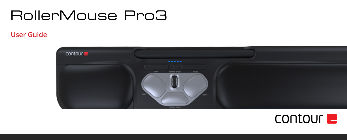# RollerMouse Pro3

### **User Guide User Guide**



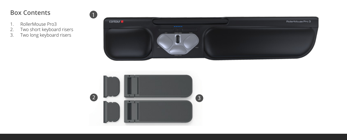## **Box Contents**

- 1. RollerMouse Pro3<br>2. Two short keyboar<br>3. Two long keyboard
- 2. Two short keyboard risers
- 3. Two long keyboard risers



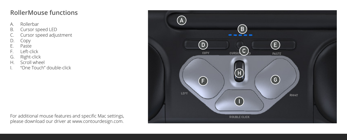#### **RollerMouse functions**

- A. Rollerbar
- B. Cursor speed LED<br>C. Cursor speed adju
- Cursor speed adjustment
- D. Copy<br>F. Paste
- Paste
- F. Left-click
- G. Right-click
- H. Scroll wheel
- "One Touch" double-click

For additional mouse features and specific Mac settings, please download our driver at www.contourdesign.com.

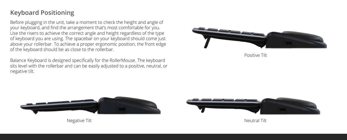#### **Keyboard Positioning**

Before plugging in the unit, take a moment to check the height and angle of your keyboard, and find the arrangement that's most comfortable for you. Use the risers to achieve the correct angle and height regardless of the type of keyboard you are using. The spacebar on your keyboard should come just above your rollerbar. To achieve a proper ergonomic position, the front edge of the keyboard should be as close to the rollerbar.

Balance Keyboard is designed specifically for the RollerMouse. The keyboard sits level with the rollerbar and can be easily adjusted to a positive, neutral, or negative tilt.



Positive Tilt





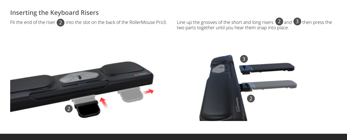#### **Inserting the Keyboard Risers**

Fit the end of the riser  $\boxed{2}$  into the slot on the back of the RollerMouse Pro3.

Line up the grooves of the short and long risers  $\langle 2 \rangle$  and  $\langle 3 \rangle$  then press the two parts together until you hear them snap into place. 3



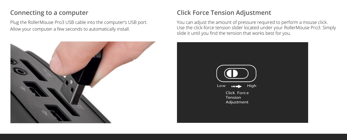#### **Connecting to a computer**

Plug the RollerMouse Pro3 USB cable into the computer's USB port. Allow your computer a few seconds to automatically install.



#### **Click Force Tension Adjustment**

You can adjust the amount of pressure required to perform a mouse click. Use the click-force tension slider located under your RollerMouse Pro3. Simply slide it until you find the tension that works best for you.

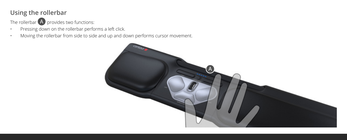#### **Using the rollerbar**

The rollerbar  $\overline{A}$  provides two functions:

- Pressing down on the rollerbar performs a left click.
- Moving the rollerbar from side to side and up and down performs cursor movement.

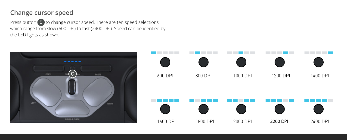#### **Change cursor speed**

Press button  $\bigcirc$  to change cursor speed. There are ten speed selections which range from slow (600 DPI) to fast (2400 DPI). Speed can be identied by the LED lights as shown.

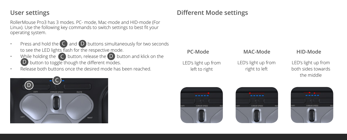#### **User settings**

RollerMouse Pro3 has 3 modes. PC- mode, Mac-mode and HID-mode (For Linux). Use the following key commands to switch settings to best fit your operating system.

- Press and hold the  $\bigcirc$  and  $\bigcirc$  buttons simultaneously for two seconds to see the LED lights flash for the respective mode.
- While holding the  $\left( \mathsf{C}\right)$  button, release the  $\left( \mathsf{D}\right)$  button and klick on the D button to toggle though the different modes.
- Release both buttons once the desired mode has been reached.



#### **Different Mode settings**



#### **PC-Mode MAC-Mode HID-Mode**

LED's light up from right to left

LED's light up from both sides towards the middle



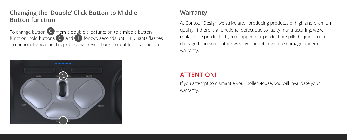#### Changing the 'Double' Click Button to Middle **Button function**

To change button  $\bigodot$  from a double click function to a middle button 10 Cridrige Dutton function, hold buttons  $\bigcirc$  and  $\bigcup$  for two seconds until LED lights flashes to confirm. Repeating this process will revert back to double click function.



#### **Warranty**

At Contour Design we strive after producing products of high and premium quality. If there is a functional defect due to faulty manufacturing, we will replace the product. If you dropped our product or spilled liquid on it, or damaged it in some other way, we cannot cover the damage under our warranty.

#### **ATTENTION!**

If you attempt to dismantle your RollerMouse, you will invalidate your warranty.